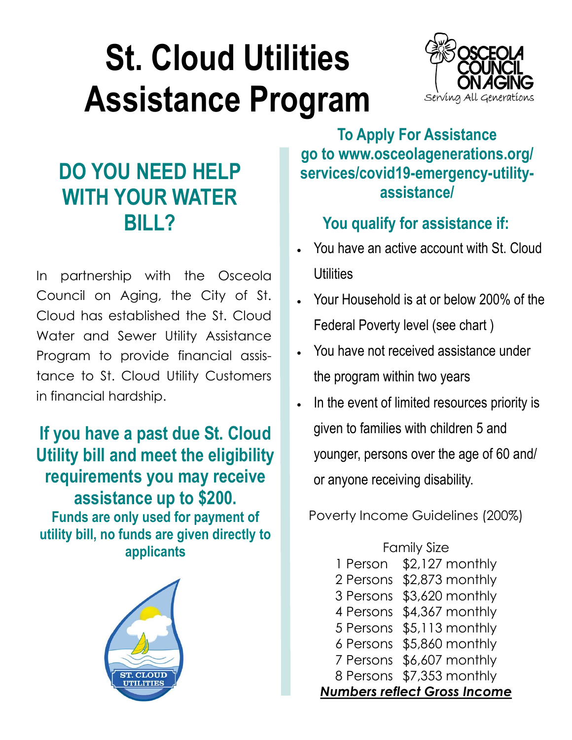## **St. Cloud Utilities Assistance Program**



## **DO YOU NEED HELP WITH YOUR WATER BILL?**

In partnership with the Osceola Council on Aging, the City of St. Cloud has established the St. Cloud Water and Sewer Utility Assistance Program to provide financial assistance to St. Cloud Utility Customers in financial hardship.

**If you have a past due St. Cloud Utility bill and meet the eligibility requirements you may receive assistance up to \$200. Funds are only used for payment of utility bill, no funds are given directly to applicants**



**To Apply For Assistance go to www.osceolagenerations.org/ services/covid19-emergency-utilityassistance/**

## **You qualify for assistance if:**

- You have an active account with St. Cloud **Utilities**
- Your Household is at or below 200% of the Federal Poverty level (see chart )
- You have not received assistance under the program within two years
- In the event of limited resources priority is given to families with children 5 and younger, persons over the age of 60 and/ or anyone receiving disability.

Poverty Income Guidelines (200%)

Family Size 1 Person \$2,127 monthly 2 Persons \$2,873 monthly 3 Persons \$3,620 monthly 4 Persons \$4,367 monthly 5 Persons \$5,113 monthly 6 Persons \$5,860 monthly 7 Persons \$6,607 monthly 8 Persons \$7,353 monthly *Numbers reflect Gross Income*